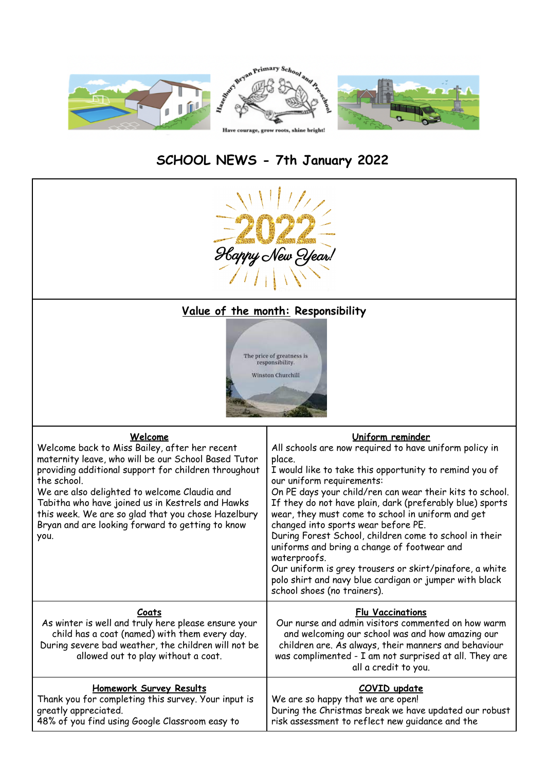

# **SCHOOL NEWS - 7th January 2022**



# **Value of the month: Responsibility**



| <u>Welcome</u><br>Welcome back to Miss Bailey, after her recent<br>maternity leave, who will be our School Based Tutor<br>providing additional support for children throughout<br>the school.<br>We are also delighted to welcome Claudia and<br>Tabitha who have joined us in Kestrels and Hawks<br>this week. We are so glad that you chose Hazelbury<br>Bryan and are looking forward to getting to know<br>you. | <u>Uniform reminder</u><br>All schools are now required to have uniform policy in<br>place.<br>I would like to take this opportunity to remind you of<br>our uniform requirements:<br>On PE days your child/ren can wear their kits to school.<br>If they do not have plain, dark (preferably blue) sports<br>wear, they must come to school in uniform and get<br>changed into sports wear before PE.<br>During Forest School, children come to school in their<br>uniforms and bring a change of footwear and<br>waterproofs.<br>Our uniform is grey trousers or skirt/pinafore, a white<br>polo shirt and navy blue cardigan or jumper with black<br>school shoes (no trainers). |
|---------------------------------------------------------------------------------------------------------------------------------------------------------------------------------------------------------------------------------------------------------------------------------------------------------------------------------------------------------------------------------------------------------------------|-------------------------------------------------------------------------------------------------------------------------------------------------------------------------------------------------------------------------------------------------------------------------------------------------------------------------------------------------------------------------------------------------------------------------------------------------------------------------------------------------------------------------------------------------------------------------------------------------------------------------------------------------------------------------------------|
| Coats                                                                                                                                                                                                                                                                                                                                                                                                               | <b>Flu Vaccinations</b>                                                                                                                                                                                                                                                                                                                                                                                                                                                                                                                                                                                                                                                             |
| As winter is well and truly here please ensure your                                                                                                                                                                                                                                                                                                                                                                 | Our nurse and admin visitors commented on how warm                                                                                                                                                                                                                                                                                                                                                                                                                                                                                                                                                                                                                                  |
| child has a coat (named) with them every day.                                                                                                                                                                                                                                                                                                                                                                       | and welcoming our school was and how amazing our                                                                                                                                                                                                                                                                                                                                                                                                                                                                                                                                                                                                                                    |
| During severe bad weather, the children will not be                                                                                                                                                                                                                                                                                                                                                                 | children are. As always, their manners and behaviour                                                                                                                                                                                                                                                                                                                                                                                                                                                                                                                                                                                                                                |

| During severe bad weather, the children will not be<br>allowed out to play without a coat. | children are. As always, their manners and behaviour<br>was complimented - I am not surprised at all. They are<br>all a credit to you. |
|--------------------------------------------------------------------------------------------|----------------------------------------------------------------------------------------------------------------------------------------|
| Homework Survey Results                                                                    | COVID update                                                                                                                           |
| Thank you for completing this survey. Your input is                                        | We are so happy that we are open!                                                                                                      |
| greatly appreciated.                                                                       | During the Christmas break we have updated our robust                                                                                  |
| 48% of you find using Google Classroom easy to                                             | risk assessment to reflect new quidance and the                                                                                        |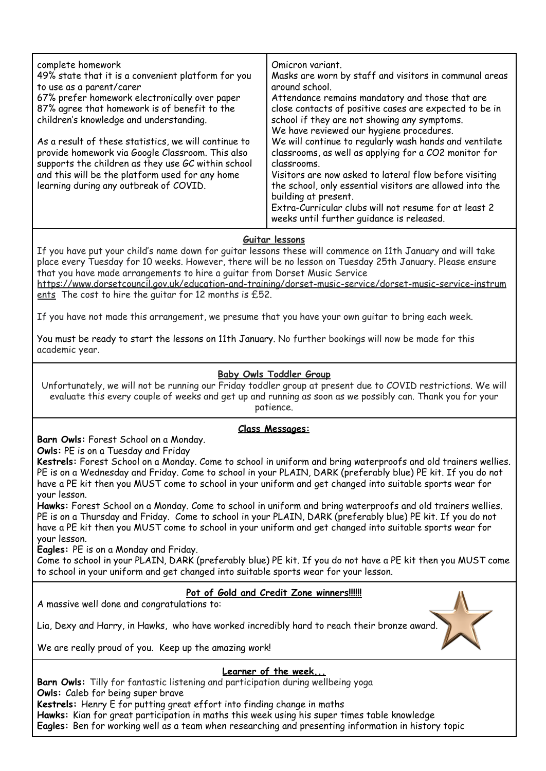| complete homework                                                                                                                                                                                                                                           | Omicron variant.                                                                                                                                                                                                                                                                                                                                                                                                               |
|-------------------------------------------------------------------------------------------------------------------------------------------------------------------------------------------------------------------------------------------------------------|--------------------------------------------------------------------------------------------------------------------------------------------------------------------------------------------------------------------------------------------------------------------------------------------------------------------------------------------------------------------------------------------------------------------------------|
| 49% state that it is a convenient platform for you                                                                                                                                                                                                          | Masks are worn by staff and visitors in communal areas                                                                                                                                                                                                                                                                                                                                                                         |
| to use as a parent/carer                                                                                                                                                                                                                                    | around school.                                                                                                                                                                                                                                                                                                                                                                                                                 |
| 67% prefer homework electronically over paper                                                                                                                                                                                                               | Attendance remains mandatory and those that are                                                                                                                                                                                                                                                                                                                                                                                |
| 87% agree that homework is of benefit to the                                                                                                                                                                                                                | close contacts of positive cases are expected to be in                                                                                                                                                                                                                                                                                                                                                                         |
| children's knowledge and understanding.                                                                                                                                                                                                                     | school if they are not showing any symptoms.                                                                                                                                                                                                                                                                                                                                                                                   |
| As a result of these statistics, we will continue to<br>provide homework via Google Classroom. This also<br>supports the children as they use GC within school<br>and this will be the platform used for any home<br>learning during any outbreak of COVID. | We have reviewed our hygiene procedures.<br>We will continue to regularly wash hands and ventilate<br>classrooms, as well as applying for a CO2 monitor for<br>classrooms.<br>Visitors are now asked to lateral flow before visiting<br>the school, only essential visitors are allowed into the<br>building at present.<br>Extra-Curricular clubs will not resume for at least 2<br>weeks until further quidance is released. |

# **Guitar lessons**

If you have put your child's name down for guitar lessons these will commence on 11th January and will take place every Tuesday for 10 weeks. However, there will be no lesson on Tuesday 25th January. Please ensure that you have made arrangements to hire a guitar from Dorset Music Service

[https://www.dorsetcouncil.gov.uk/education-and-training/dorset-music-service/dorset-music-service-instrum](https://www.dorsetcouncil.gov.uk/education-and-training/dorset-music-service/dorset-music-service-instruments) [ents](https://www.dorsetcouncil.gov.uk/education-and-training/dorset-music-service/dorset-music-service-instruments) The cost to hire the quitar for 12 months is £52.

If you have not made this arrangement, we presume that you have your own guitar to bring each week.

You must be ready to start the lessons on 11th January. No further bookings will now be made for this academic year.

# **Baby Owls Toddler Group**

Unfortunately, we will not be running our Friday toddler group at present due to COVID restrictions. We will evaluate this every couple of weeks and get up and running as soon as we possibly can. Thank you for your patience.

### **Class Messages:**

**Barn Owls:** Forest School on a Monday.

**Owls:** PE is on a Tuesday and Friday

**Kestrels:** Forest School on a Monday. Come to school in uniform and bring waterproofs and old trainers wellies. PE is on a Wednesday and Friday. Come to school in your PLAIN, DARK (preferably blue) PE kit. If you do not have a PE kit then you MUST come to school in your uniform and get changed into suitable sports wear for your lesson.

**Hawks:** Forest School on a Monday. Come to school in uniform and bring waterproofs and old trainers wellies. PE is on a Thursday and Friday. Come to school in your PLAIN, DARK (preferably blue) PE kit. If you do not have a PE kit then you MUST come to school in your uniform and get changed into suitable sports wear for your lesson.

**Eagles:** PE is on a Monday and Friday.

Come to school in your PLAIN, DARK (preferably blue) PE kit. If you do not have a PE kit then you MUST come to school in your uniform and get changed into suitable sports wear for your lesson.

### **Pot of Gold and Credit Zone winners!!!!!!**

A massive well done and congratulations to:

Lia, Dexy and Harry, in Hawks, who have worked incredibly hard to reach their bronze award.

We are really proud of you. Keep up the amazing work!

### **Learner of the week...**

**Barn Owls:** Tilly for fantastic listening and participation during wellbeing yoga **Owls:** Caleb for being super brave **Kestrels:** Henry E for putting great effort into finding change in maths **Hawks:** Kian for great participation in maths this week using his super times table knowledge **Eagles:** Ben for working well as a team when researching and presenting information in history topic